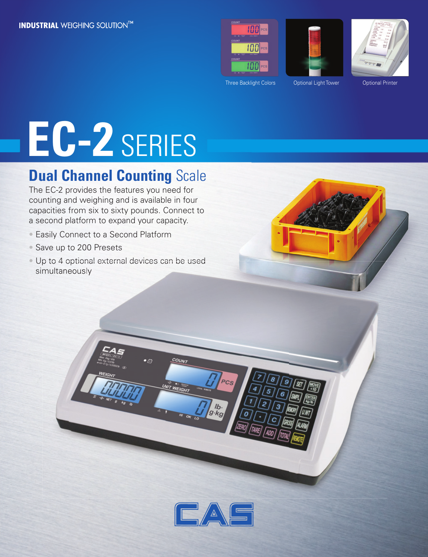





Three Backlight Colors **Optional Light Tower** Optional Printer

# **EC-2** SERIES

### **Dual Channel Counting Scale**

The EC-2 provides the features you need for counting and weighing and is available in four capacities from six to sixty pounds. Connect to a second platform to expand your capacity.

- Easily Connect to a Second Platform
- Save up to 200 Presets
- Up to 4 optional external devices can be used simultaneously multaneously





lb.<br>g·kg

**COUNT** 

 $\bullet$